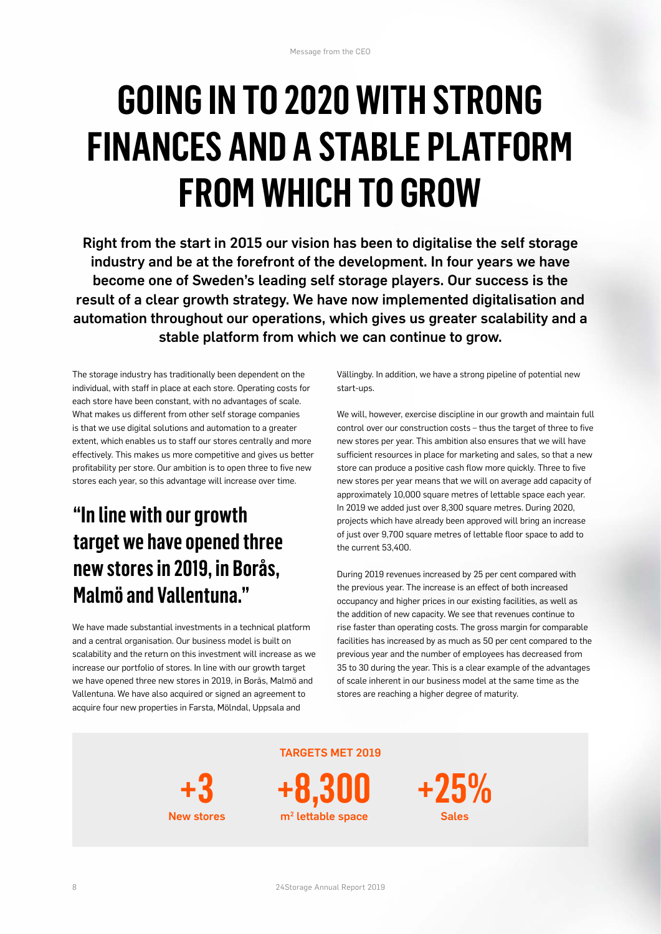## **GOING IN TO 2020 WITH STRONG FINANCES AND A STABLE PLATFORM FROM WHICH TO GROW**

Right from the start in 2015 our vision has been to digitalise the self storage industry and be at the forefront of the development. In four years we have become one of Sweden's leading self storage players. Our success is the result of a clear growth strategy. We have now implemented digitalisation and automation throughout our operations, which gives us greater scalability and a stable platform from which we can continue to grow.

The storage industry has traditionally been dependent on the individual, with staff in place at each store. Operating costs for each store have been constant, with no advantages of scale. What makes us different from other self storage companies is that we use digital solutions and automation to a greater extent, which enables us to staff our stores centrally and more effectively. This makes us more competitive and gives us better profitability per store. Our ambition is to open three to five new stores each year, so this advantage will increase over time.

## **"In line with our growth target we have opened three new stores in 2019, in Borås, Malmö and Vallentuna."**

We have made substantial investments in a technical platform and a central organisation. Our business model is built on scalability and the return on this investment will increase as we increase our portfolio of stores. In line with our growth target we have opened three new stores in 2019, in Borås, Malmö and Vallentuna. We have also acquired or signed an agreement to acquire four new properties in Farsta, Mölndal, Uppsala and

Vällingby. In addition, we have a strong pipeline of potential new start-ups.

We will, however, exercise discipline in our growth and maintain full control over our construction costs – thus the target of three to five new stores per year. This ambition also ensures that we will have sufficient resources in place for marketing and sales, so that a new store can produce a positive cash flow more quickly. Three to five new stores per year means that we will on average add capacity of approximately 10,000 square metres of lettable space each year. In 2019 we added just over 8,300 square metres. During 2020, projects which have already been approved will bring an increase of just over 9,700 square metres of lettable floor space to add to the current 53,400.

During 2019 revenues increased by 25 per cent compared with the previous year. The increase is an effect of both increased occupancy and higher prices in our existing facilities, as well as the addition of new capacity. We see that revenues continue to rise faster than operating costs. The gross margin for comparable facilities has increased by as much as 50 per cent compared to the previous year and the number of employees has decreased from 35 to 30 during the year. This is a clear example of the advantages of scale inherent in our business model at the same time as the stores are reaching a higher degree of maturity.

**+3** New stores **+8,300** m2 lettable space

TARGETS MET 2019